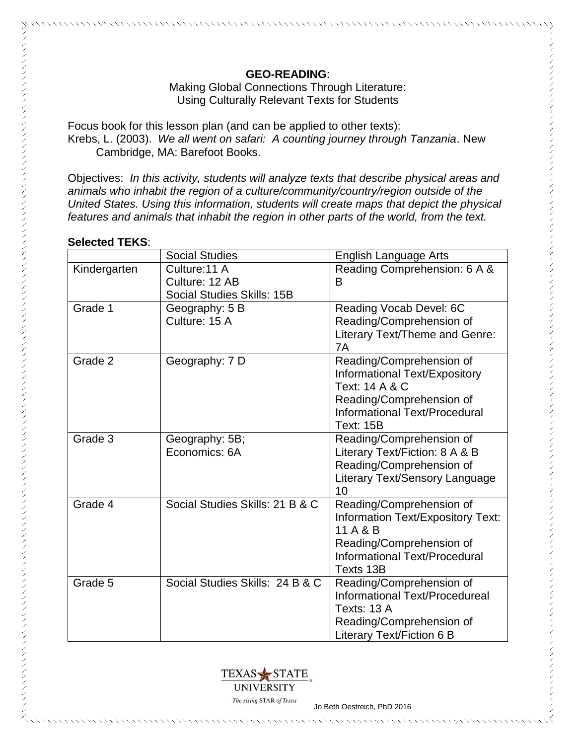## Making Global Connections Through Literature: Using Culturally Relevant Texts for Students

Focus book for this lesson plan (and can be applied to other texts): Krebs, L. (2003). *We all went on safari: A counting journey through Tanzania*. New Cambridge, MA: Barefoot Books.

Objectives: *In this activity, students will analyze texts that describe physical areas and animals who inhabit the region of a culture/community/country/region outside of the United States. Using this information, students will create maps that depict the physical features and animals that inhabit the region in other parts of the world, from the text.*

### **Selected TEKS**:

|              | <b>Social Studies</b>           | English Language Arts             |
|--------------|---------------------------------|-----------------------------------|
| Kindergarten | Culture: 11 A                   | Reading Comprehension: 6 A &      |
|              | Culture: 12 AB                  | B                                 |
|              | Social Studies Skills: 15B      |                                   |
| Grade 1      | Geography: 5 B                  | Reading Vocab Devel: 6C           |
|              | Culture: 15 A                   | Reading/Comprehension of          |
|              |                                 | Literary Text/Theme and Genre:    |
|              |                                 | 7A                                |
| Grade 2      | Geography: 7 D                  | Reading/Comprehension of          |
|              |                                 | Informational Text/Expository     |
|              |                                 | Text: 14 A & C                    |
|              |                                 | Reading/Comprehension of          |
|              |                                 | Informational Text/Procedural     |
|              |                                 | <b>Text: 15B</b>                  |
| Grade 3      | Geography: 5B;                  | Reading/Comprehension of          |
|              | Economics: 6A                   | Literary Text/Fiction: 8 A & B    |
|              |                                 | Reading/Comprehension of          |
|              |                                 | Literary Text/Sensory Language    |
|              |                                 | 10                                |
| Grade 4      | Social Studies Skills: 21 B & C | Reading/Comprehension of          |
|              |                                 | Information Text/Expository Text: |
|              |                                 | 11 A & B                          |
|              |                                 | Reading/Comprehension of          |
|              |                                 | Informational Text/Procedural     |
|              |                                 | Texts 13B                         |
| Grade 5      | Social Studies Skills: 24 B & C | Reading/Comprehension of          |
|              |                                 | Informational Text/Procedureal    |
|              |                                 | Texts: 13 A                       |
|              |                                 | Reading/Comprehension of          |
|              |                                 | Literary Text/Fiction 6 B         |



The rising STAR of Texas<br>Jo Beth Oestreich, PhD 2016

\*\*\*\*\*\*\*\*\*\*\*\*\*\*\*\*\*\*\*\*\*\*\*\*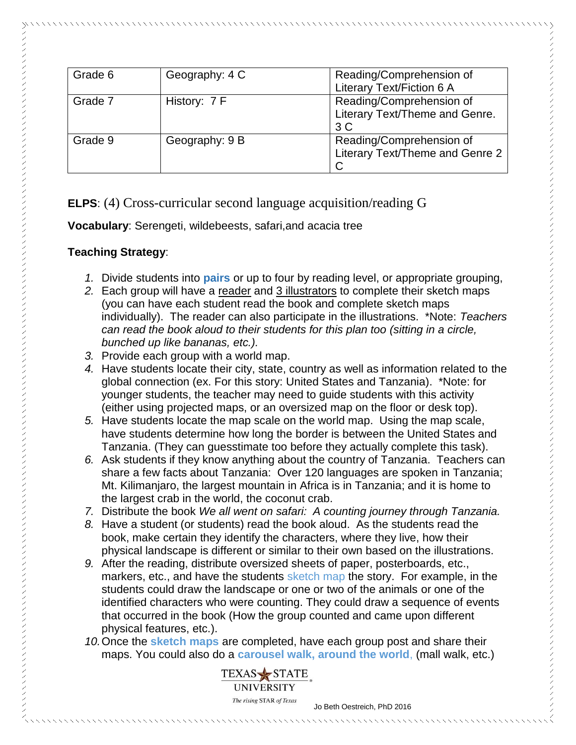| Grade 6 | Geography: 4 C | Reading/Comprehension of         |  |
|---------|----------------|----------------------------------|--|
|         |                | <b>Literary Text/Fiction 6 A</b> |  |
| Grade 7 | History: 7 F   | Reading/Comprehension of         |  |
|         |                | Literary Text/Theme and Genre.   |  |
|         |                | 3 <sup>C</sup>                   |  |
| Grade 9 | Geography: 9 B | Reading/Comprehension of         |  |
|         |                | Literary Text/Theme and Genre 2  |  |
|         |                | C                                |  |

# **ELPS**: (4) Cross-curricular second language acquisition/reading G

**Vocabulary**: Serengeti, wildebeests, safari,and acacia tree

# **Teaching Strategy**:

- *1.* Divide students into **pairs** or up to four by reading level, or appropriate grouping,
- *2.* Each group will have a reader and 3 illustrators to complete their sketch maps (you can have each student read the book and complete sketch maps individually). The reader can also participate in the illustrations. \*Note: *Teachers can read the book aloud to their students for this plan too (sitting in a circle, bunched up like bananas, etc.).*
- *3.* Provide each group with a world map.
- *4.* Have students locate their city, state, country as well as information related to the global connection (ex. For this story: United States and Tanzania). \*Note: for younger students, the teacher may need to guide students with this activity (either using projected maps, or an oversized map on the floor or desk top).
- *5.* Have students locate the map scale on the world map. Using the map scale, have students determine how long the border is between the United States and Tanzania. (They can guesstimate too before they actually complete this task).
- *6.* Ask students if they know anything about the country of Tanzania. Teachers can share a few facts about Tanzania: Over 120 languages are spoken in Tanzania; Mt. Kilimanjaro, the largest mountain in Africa is in Tanzania; and it is home to the largest crab in the world, the coconut crab.
- *7.* Distribute the book *We all went on safari: A counting journey through Tanzania.*
- *8.* Have a student (or students) read the book aloud. As the students read the book, make certain they identify the characters, where they live, how their physical landscape is different or similar to their own based on the illustrations.
- *9.* After the reading, distribute oversized sheets of paper, posterboards, etc., markers, etc., and have the students sketch map the story. For example, in the students could draw the landscape or one or two of the animals or one of the identified characters who were counting. They could draw a sequence of events that occurred in the book (How the group counted and came upon different physical features, etc.).
- *10.*Once the **sketch maps** are completed, have each group post and share their maps. You could also do a **carousel walk, around the world**, (mall walk, etc.)



The rising STAR of Texas<br>Jo Beth Oestreich, PhD 2016

,,,,,,,,,,,,,,,,,,,,,,,,,,,,,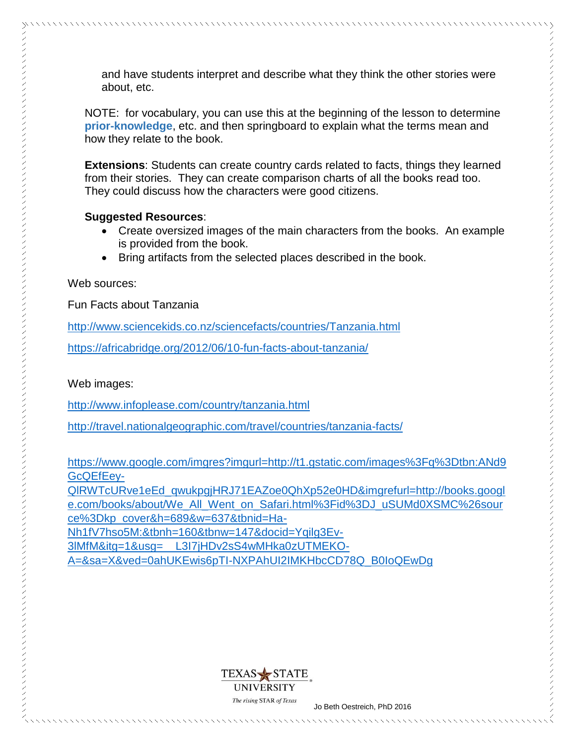and have students interpret and describe what they think the other stories were about, etc.

NOTE: for vocabulary, you can use this at the beginning of the lesson to determine **prior-knowledge**, etc. and then springboard to explain what the terms mean and how they relate to the book.

**Extensions**: Students can create country cards related to facts, things they learned from their stories. They can create comparison charts of all the books read too. They could discuss how the characters were good citizens.

### **Suggested Resources**:

- Create oversized images of the main characters from the books. An example is provided from the book.
- Bring artifacts from the selected places described in the book.

### Web sources:

Fun Facts about Tanzania

[http://www.sciencekids.co.nz/sciencefacts/countries/Tanzania.html](http://www.sciencekids.co.nz/sciencefacts/countries/mexico.html)

<https://africabridge.org/2012/06/10-fun-facts-about-tanzania/>

### Web images:

<http://www.infoplease.com/country/tanzania.html>

<http://travel.nationalgeographic.com/travel/countries/tanzania-facts/>

[https://www.google.com/imgres?imgurl=http://t1.gstatic.com/images%3Fq%3Dtbn:ANd9](https://www.google.com/imgres?imgurl=http://t1.gstatic.com/images%3Fq%3Dtbn:ANd9GcQEfEey-QlRWTcURve1eEd_qwukpgjHRJ71EAZoe0QhXp52e0HD&imgrefurl=http://books.google.com/books/about/We_All_Went_on_Safari.html%3Fid%3DJ_uSUMd0XSMC%26source%3Dkp_cover&h=689&w=637&tbnid=Ha-Nh1fV7hso5M:&tbnh=160&tbnw=147&docid=Yqilg3Ev-3lMfM&itg=1&usg=__L3I7jHDv2sS4wMHka0zUTMEKO-A=&sa=X&ved=0ahUKEwis6pTI-NXPAhUI2IMKHbcCD78Q_B0IoQEwDg) [GcQEfEey-](https://www.google.com/imgres?imgurl=http://t1.gstatic.com/images%3Fq%3Dtbn:ANd9GcQEfEey-QlRWTcURve1eEd_qwukpgjHRJ71EAZoe0QhXp52e0HD&imgrefurl=http://books.google.com/books/about/We_All_Went_on_Safari.html%3Fid%3DJ_uSUMd0XSMC%26source%3Dkp_cover&h=689&w=637&tbnid=Ha-Nh1fV7hso5M:&tbnh=160&tbnw=147&docid=Yqilg3Ev-3lMfM&itg=1&usg=__L3I7jHDv2sS4wMHka0zUTMEKO-A=&sa=X&ved=0ahUKEwis6pTI-NXPAhUI2IMKHbcCD78Q_B0IoQEwDg)

[QlRWTcURve1eEd\\_qwukpgjHRJ71EAZoe0QhXp52e0HD&imgrefurl=http://books.googl](https://www.google.com/imgres?imgurl=http://t1.gstatic.com/images%3Fq%3Dtbn:ANd9GcQEfEey-QlRWTcURve1eEd_qwukpgjHRJ71EAZoe0QhXp52e0HD&imgrefurl=http://books.google.com/books/about/We_All_Went_on_Safari.html%3Fid%3DJ_uSUMd0XSMC%26source%3Dkp_cover&h=689&w=637&tbnid=Ha-Nh1fV7hso5M:&tbnh=160&tbnw=147&docid=Yqilg3Ev-3lMfM&itg=1&usg=__L3I7jHDv2sS4wMHka0zUTMEKO-A=&sa=X&ved=0ahUKEwis6pTI-NXPAhUI2IMKHbcCD78Q_B0IoQEwDg) [e.com/books/about/We\\_All\\_Went\\_on\\_Safari.html%3Fid%3DJ\\_uSUMd0XSMC%26sour](https://www.google.com/imgres?imgurl=http://t1.gstatic.com/images%3Fq%3Dtbn:ANd9GcQEfEey-QlRWTcURve1eEd_qwukpgjHRJ71EAZoe0QhXp52e0HD&imgrefurl=http://books.google.com/books/about/We_All_Went_on_Safari.html%3Fid%3DJ_uSUMd0XSMC%26source%3Dkp_cover&h=689&w=637&tbnid=Ha-Nh1fV7hso5M:&tbnh=160&tbnw=147&docid=Yqilg3Ev-3lMfM&itg=1&usg=__L3I7jHDv2sS4wMHka0zUTMEKO-A=&sa=X&ved=0ahUKEwis6pTI-NXPAhUI2IMKHbcCD78Q_B0IoQEwDg) [ce%3Dkp\\_cover&h=689&w=637&tbnid=Ha-](https://www.google.com/imgres?imgurl=http://t1.gstatic.com/images%3Fq%3Dtbn:ANd9GcQEfEey-QlRWTcURve1eEd_qwukpgjHRJ71EAZoe0QhXp52e0HD&imgrefurl=http://books.google.com/books/about/We_All_Went_on_Safari.html%3Fid%3DJ_uSUMd0XSMC%26source%3Dkp_cover&h=689&w=637&tbnid=Ha-Nh1fV7hso5M:&tbnh=160&tbnw=147&docid=Yqilg3Ev-3lMfM&itg=1&usg=__L3I7jHDv2sS4wMHka0zUTMEKO-A=&sa=X&ved=0ahUKEwis6pTI-NXPAhUI2IMKHbcCD78Q_B0IoQEwDg)

[Nh1fV7hso5M:&tbnh=160&tbnw=147&docid=Yqilg3Ev-](https://www.google.com/imgres?imgurl=http://t1.gstatic.com/images%3Fq%3Dtbn:ANd9GcQEfEey-QlRWTcURve1eEd_qwukpgjHRJ71EAZoe0QhXp52e0HD&imgrefurl=http://books.google.com/books/about/We_All_Went_on_Safari.html%3Fid%3DJ_uSUMd0XSMC%26source%3Dkp_cover&h=689&w=637&tbnid=Ha-Nh1fV7hso5M:&tbnh=160&tbnw=147&docid=Yqilg3Ev-3lMfM&itg=1&usg=__L3I7jHDv2sS4wMHka0zUTMEKO-A=&sa=X&ved=0ahUKEwis6pTI-NXPAhUI2IMKHbcCD78Q_B0IoQEwDg)[3lMfM&itg=1&usg=\\_\\_L3I7jHDv2sS4wMHka0zUTMEKO-](https://www.google.com/imgres?imgurl=http://t1.gstatic.com/images%3Fq%3Dtbn:ANd9GcQEfEey-QlRWTcURve1eEd_qwukpgjHRJ71EAZoe0QhXp52e0HD&imgrefurl=http://books.google.com/books/about/We_All_Went_on_Safari.html%3Fid%3DJ_uSUMd0XSMC%26source%3Dkp_cover&h=689&w=637&tbnid=Ha-Nh1fV7hso5M:&tbnh=160&tbnw=147&docid=Yqilg3Ev-3lMfM&itg=1&usg=__L3I7jHDv2sS4wMHka0zUTMEKO-A=&sa=X&ved=0ahUKEwis6pTI-NXPAhUI2IMKHbcCD78Q_B0IoQEwDg)[A=&sa=X&ved=0ahUKEwis6pTI-NXPAhUI2IMKHbcCD78Q\\_B0IoQEwDg](https://www.google.com/imgres?imgurl=http://t1.gstatic.com/images%3Fq%3Dtbn:ANd9GcQEfEey-QlRWTcURve1eEd_qwukpgjHRJ71EAZoe0QhXp52e0HD&imgrefurl=http://books.google.com/books/about/We_All_Went_on_Safari.html%3Fid%3DJ_uSUMd0XSMC%26source%3Dkp_cover&h=689&w=637&tbnid=Ha-Nh1fV7hso5M:&tbnh=160&tbnw=147&docid=Yqilg3Ev-3lMfM&itg=1&usg=__L3I7jHDv2sS4wMHka0zUTMEKO-A=&sa=X&ved=0ahUKEwis6pTI-NXPAhUI2IMKHbcCD78Q_B0IoQEwDg)



The rising STAR of Texas<br>Jo Beth Oestreich, PhD 2016